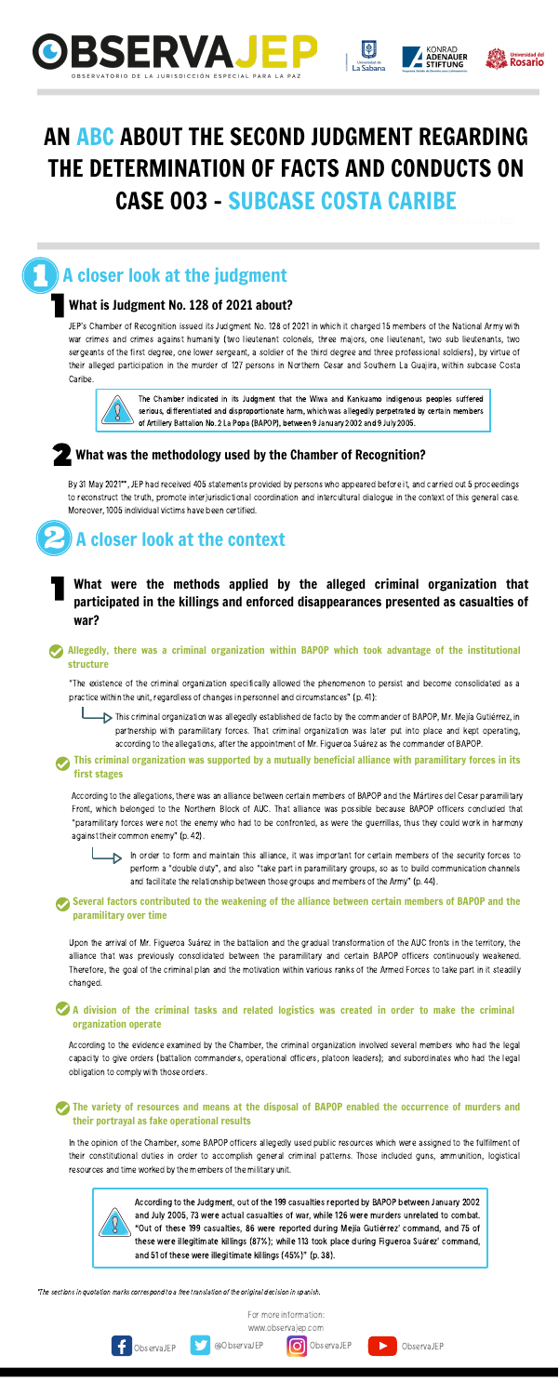



KONRAD **ADENAUER**<br>STIFTUNG





For more information: [www.observajep.com](http://observajep.com/index.php)





# A closer look at the judgment

### What is Judgment No. 128 of 2021 about?

By 31 May 2021\*\*, JEP had received 405 statements provided by persons who appeared before it, and carried out 5 proceedings to reconstruct the truth, promote interjurisdictional coordination and intercultural dialogue in the context of this general case. Moreover, 1005 individual victims have been certified.

JEP's Chamber of Recognition issued its Judgment No. 128 of 2021 in which it charged 15 members of the National Army with war crimes and crimes against humanity (two lieutenant colonels, three majors, one lieutenant, two sub lieutenants, two sergeants of the first degree, one lower sergeant, a soldier of the third degree and three professional soldiers), by virtue of their alleged participation in the murder of 127 persons in Northern Cesar and Southern La Guajira, within subcase Costa Caribe.



"The existence of the criminal organization specifically allowed the phenomenon to persist and become consolidated as a practice within the unit, regardless of changes in personnel and circumstances" (p. 41):

This criminal organization was allegedly established de facto by the commander of BAPOP, Mr. Mejía Gutiérrez, in partnership with paramilitary forces. That criminal organization was later put into place and kept operating, according to the allegations, after the appointment of Mr. Figueroa Suárez as the commander of BAPOP.

The Chamber indicated in its Judgment that the Wiwa and Kankuamo indigenous peoples suffered serious, differentiated and disproportionate harm, which was allegedly perpetrated by certain members of Artillery Battalion No. 2 La Popa (BAPOP), between 9 January 2002 and 9 July 2005.

### What was the methodology used by the Chamber of Recognition?

# A closer look at the context

### What were the methods applied by the alleged criminal organization that participated in the killings and enforced disappearances presented as casualties of war?

In order to form and maintain this alliance, it was important for certain members of the security forces to perform a "double duty", and also "take part in paramilitary groups, so as to build communication channels and facilitate the relationship between those groups and members of the Army" (p. 44).

### Allegedly, there was a criminal organization within BAPOP which took advantage of the institutional structure

### **The variety of resources and means at the disposal of BAPOP enabled the occurrence of murders and** their portrayal as fake operational results

In the opinion of the Chamber, some BAPOP officers allegedly used public resources which were assigned to the fulfilment of their constitutional duties in order to accomplish general criminal patterns. Those included guns, ammunition, logistical resources and time worked by the members of the military unit.



### This criminal organization was supported by a mutually beneficial alliance with paramilitary forces in its first stages

According to the allegations, there was an alliance between certain members of BAPOP and the Mártires del Cesar paramilitary Front, which belonged to the Northern Block of AUC. That alliance was possible because BAPOP officers concluded that "paramilitary forces were not the enemy who had to be confronted, as were the guerrillas, thus they could work in harmony against their common enemy" (p. 42).

### Several factors contributed to the weakening of the alliance between certain members of BAPOP and the paramilitary over time

Upon the arrival of Mr. Figueroa Suárez in the battalion and the gradual transformation of the AUC fronts in the territory, the alliance that was previously consolidated between the paramilitary and certain BAPOP officers continuously weakened. Therefore, the goal of the criminal plan and the motivation within various ranks of the Armed Forces to take part in it steadily changed.

### A division of the criminal tasks and related logistics was created in order to make the criminal organization operate

According to the evidence examined by the Chamber, the criminal organization involved several members who had the legal capacity to give orders (battalion commanders, operational officers, platoon leaders); and subordinates who had the legal obligation to comply with those orders.

> According to the Judgment, out of the 199 casualties reported by BAPOP between January 2002 and July 2005, 73 were actual casualties of war, while 126 were murders unrelated to combat. "Out of these 199 casualties, 86 were reported during Mejía Gutiérrez' command, and 75 of these were illegitimate killings (87%); while 113 took place during Figueroa Suárez' command, and 51 of these were illegitimate killings(45%)"(p. 38).

\*The sections in quotation marks correspond to a free translation of the original decision in spanish.



ObservaJEP **Details and CODSET CODSET CODSET A** ObservaJEP

# AN ABC ABOUT THE SECOND JUDGMENT REGARDING THE DETERMINATION OF FACTS AND CONDUCTS ON CASE 003 - SUBCASE COSTA CARIBE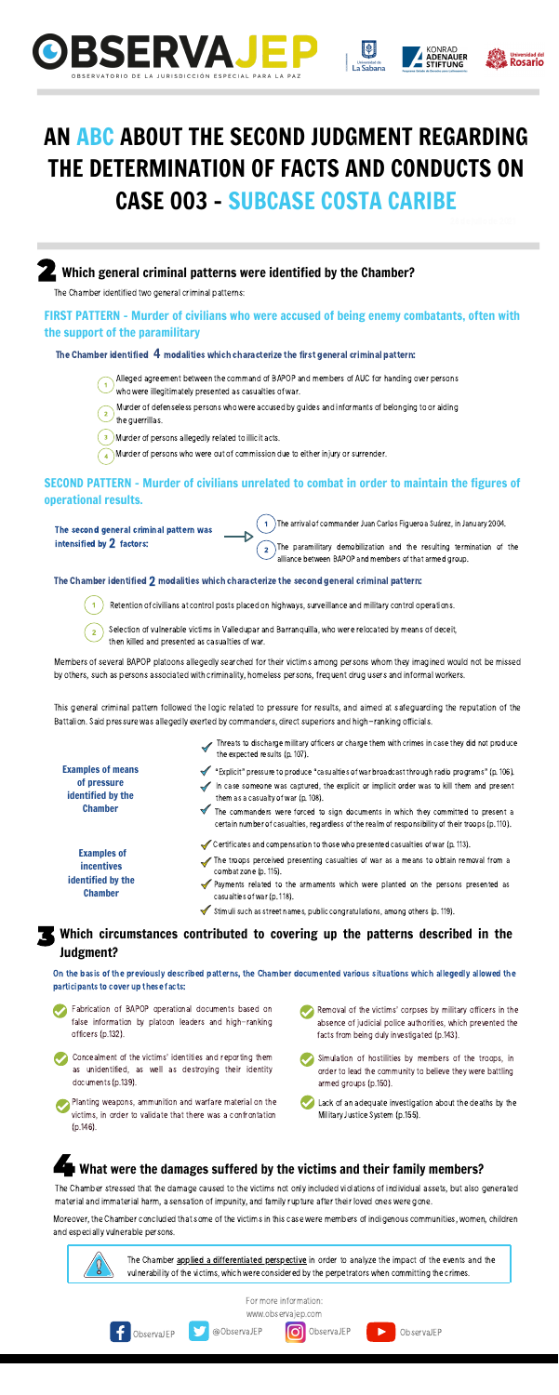





**ADENAUER** 

### SECOND PATTERN – Murder of civilians unrelated to combat in order to maintain the figures of operational results.



For more information: [www.observajep.com](http://observajep.com/index.php)



ObservaJEP **@ObservaJEP O** ObservaJEP **DeservaJEP** 

The Chamber identified two general criminal patterns:

### FIRST PATTERN - Murder of civilians who were accused of being enemy combatants, often with the support of the paramilitary

### The Chamber identified  $\,$  4 modalities which characterize the first general criminal pattern:

The second general criminal pattern was  $intensified by 2 factors:$ 

Alleged agreement between the command of BAPOP and members of AUC for handing over persons who were illegitimately presented as casualties of war.

Members of several BAPOP platoons allegedly searched for their victims among persons whom they imagined would not be missed by others, such as persons associated with criminality, homeless persons, frequent drug users and informal workers.

This general criminal pattern followed the logic related to pressure for results, and aimed at safeguarding the reputation of the Battalion. Said pressure was allegedly exerted by commanders, direct superiors and high-ranking officials.

The arrival of commander Juan Carlos Figueroa Suárez, in January 2004.

The paramilitary demobilization and the resulting termination of the alliance between BAPOP and members of that armed group.

### The Chamber identified  $\bar{\bf 2}$  modalities which characterize the second general criminal pattern:

Retention of civilians at control posts placed on highways, surveillance and military control operations.

Murder of defenseless persons who were accused by guides and informants of belonging to or aiding the guerrillas.

 $\overline{\mathbf{3}}$ Murder of persons allegedly related to illicit acts.

Murder of persons who were out of commission due to either injury or surrender.

- The troops perceived presenting casualties of war as a means to obtain removal from a combat zone (p. 115).
- Payments related to the armaments which were planted on the persons presented as casualties of war (p. 118).
- Stimuli such as street names, public congratulations, among others (p. 119).  $\blacktriangledown$

- Fabrication of BAPOP operational documents based on false information by platoon leaders and high-ranking officers(p.132).
- Concealment of the victims' identities and reporting them as unidentified, as well as destroying their identity documents(p.139).
- Planting weapons, ammunition and warfare material on the victims, in order to validate that there was a confrontation (p.146).
- Removal of the victims' corpses by military officers in the absence of judicial police authorities, which prevented the facts from being duly investigated (p.143).
- Simulation of hostilities by members of the troops, in order to lead the community to believe they were battling armed groups(p.150).
- Lack of an adequate investigation about the deaths by the Military Justice System (p.155).

## What were the damages suffered by the victims and their family members?

Examples of means of pressure identified by the Chamber

- Threats to discharge military officers or charge them with crimes in case they did not produce the expected results (p. 107).
- "Explicit" pressure to produce "casualties of war broadcast through radio programs" (p. 106).
- In case someone was captured, the explicit or implicit order was to kill them and present them as a casualty of war (p. 108).

The commanders were forced to sign documents in which they committed to present a certain number of casualties, regardless of the realm of responsibility of their troops(p. 110).

Examples of incentives identified by the Chamber

 $\blacktriangledown$  Certificates and compensation to those who presented casualties of war (p. 113).

### Which circumstances contributed to covering up the patterns described in the Judgment?

On the basis of the previously described patterns, the Chamber documented various situations which allegedly allowed the participants to cover up these facts:

The Chamber stressed that the damage caused to the victims not only included violations of individual assets, but also generated material and immaterial harm, a sensation of impunity, and familyrupture after their loved ones were gone.

Moreover, the Chamber concluded that some of the victims in this case were members of indigenous communities, women, children and especially vulnerable persons.

> The Chamber applied a differentiated perspective in order to analyze the impact of the events and the vulnerability of the victims, which were considered by the perpetrators when committing the crimes.

Selection of vulnerable victims in Valledupar and Barranquilla, who were relocated by means of deceit, then killed and presented as casualties of war.

# AN ABC ABOUT THE SECOND JUDGMENT REGARDING THE DETERMINATION OF FACTS AND CONDUCTS ON CASE 003 - SUBCASE COSTA CARIBE

### Which general criminal patterns were identified by the Chamber?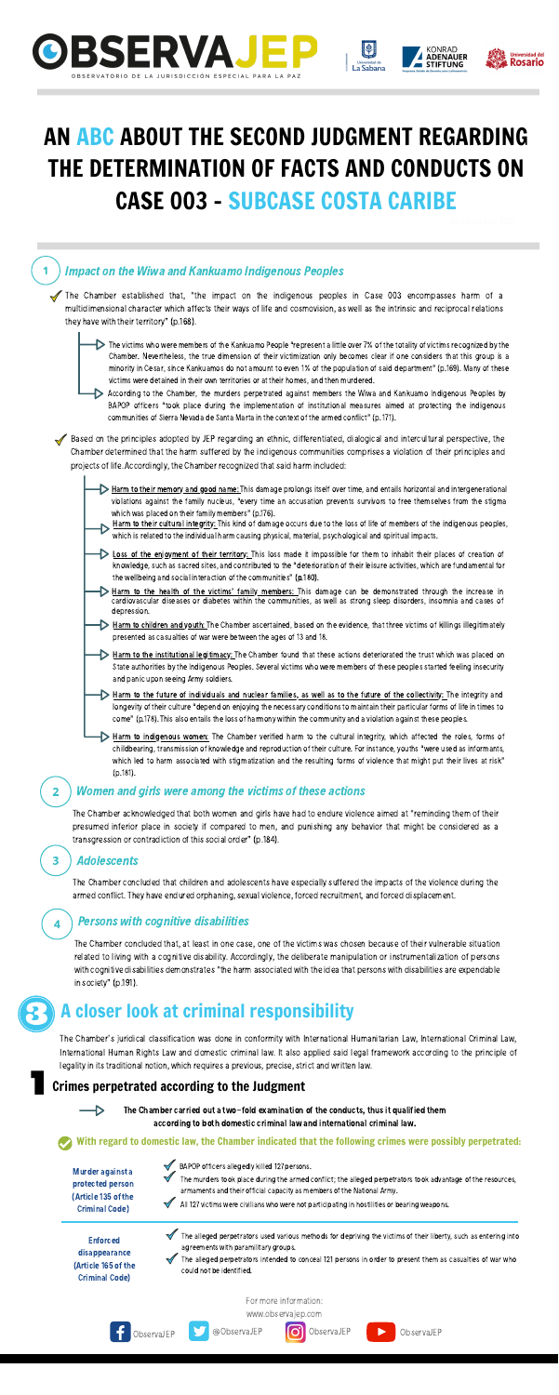





**ADENAUER** 

For more information:







### Impact on the Wiwa and Kankuamo Indigenous Peoples

The Chamber established that, "the impact on the indigenous peoples in Case 003 encompasses harm of a multidimensional character which affects their ways of life and cosmovision, as well as the intrinsic and reciprocal relations they have with their territory" (p.168).

 $\triangleright$  The victims who were members of the Kankuamo People "represent a little over 7% of the totality of victims recognized by the Chamber. Nevertheless, the true dimension of their victimization only becomes clear if one considers that this group is a minority in Cesar, since Kankuamos do not amount to even 1% of the population of said department" (p.169). Many of these victims were detained in their own territories or at their homes, and then murdered.

According to the Chamber, the murders perpetrated against members the Wiwa and Kankuamo Indigenous Peoples by BAPOP officers "took place during the implementation of institutional measures aimed at protecting the indigenous communities of Sierra Nevada de Santa Marta in the context of the armed conflict" (p. 171).

Based on the principles adopted by JEP regarding an ethnic, differentiated, dialogical and intercultural perspective, the Chamber determined that the harm suffered by the indigenous communities comprises a violation of their principles and projects of life. Accordingly, the Chamber recognized thatsaid harm included:

- **Example 2 Ioss of the enjoyment of their territory:** This loss made it impossible for them to inhabit their places of creation of knowledge, such as sacred sites, and contributed to the "deterioration of their leisure activities, which are fundamental for the wellbeing and social interaction of the communities" (p.180).
- Harm to the health of the victims' family members: This damage can be demonstrated through the increase in cardiovascular diseases or diabetes within the communities, as well as strong sleep disorders, insomnia and cases of depression.
- Harm to children and youth: The Chamber ascertained, based on the evidence, that three victims of killings illegitimately presented as casualties of war were between the ages of 13 and 18.

Harm to the institutional legitimacy: The Chamber found that these actions deteriorated the trust which was placed on State authorities by the Indigenous Peoples. Several victims who were members of these peoples started feeling insecurity and panic upon seeing Armysoldiers.

Harm to the future of individuals and nuclear families, as well as to the future of the collectivity: The integrity and longevity of their culture "depend on enjoying the necessary conditions to maintain their particular forms of life in times to come" (p.178). This also entails the loss of harmony within the community and a violation against these peoples.

The Chamber concluded that children and adolescents have especially suffered the impacts of the violence during the armed conflict. They have endured orphaning, sexual violence, forced recruitment, and forced displacement.

The Chamber's juridical classification was done in conformity with International Humanitarian Law, International Criminal Law, International Human Rights Law and domestic criminal law. It also applied said legal framework according to the principle of legality in its traditional notion, which requires a previous, precise, strict and written law.

Harm to indigenous women: The Chamber verified harm to the cultural integrity, which affected the roles, forms of childbearing, transmission of knowledge and reproduction of their culture. For instance, youths "were used as informants, which led to harm associated with stigmatization and the resulting forms of violence that might put their lives at risk" (p.181).

Harm to their memory and good name: This damage prolongs itself over time, and entails horizontal and intergenerational violations against the family nucleus, "every time an accusation prevents survivors to free themselves from the stigma which was placed on their family members" (p.176).

Harm to their cultural integrity: This kind of damage occurs due to the loss of life of members of the indigenous peoples, which is related to the individual harm causing physical, material, psychological and spiritual impacts.

### Women and girls were among the victims of these actions

The Chamber acknowledged that both women and girls have had to endure violence aimed at "reminding them of their presumed inferior place in society if compared to men, and punishing any behavior that might be considered as a

transgression or contradiction of this social order" (p.184).

### Adolescents

 $\mathbf{2}$ 

3

4

### Persons with cognitive disabilities

The Chamber concluded that, at least in one case, one of the victims was chosen because of their vulnerable situation related to living with a cognitive disability. Accordingly, the deliberate manipulation or instrumentalization of persons with cognitive disabilities demonstrates "the harm associated with the idea that persons with disabilities are expendable in society" (p.191).

### A closer look at criminal responsibility

The Chamber carried out a two-fold examination of the conducts, thus it qualified them according to both domestic criminal law and international criminal law.

### Crimes perpetrated according to the Judgment



Murder against a protected person (Article 135 of the Criminal Code)



- BAPOP officers allegedly killed 127 persons.
	- The murders took place during the armed conflict; the alleged perpetrators took advantage of the resources, armaments and their official capacity as members of the National Army.
	- All 127 victims were civilians who were not participating in hostilities or bearing weapons.

Enforced disappearance (Article 165 of the Criminal Code)

- The alleged perpetrators used various methods for depriving the victims of their liberty, such as entering into agreements with paramilitary groups.
- The alleged perpetrators intended to conceal 121 persons in order to present them as casualties of war who could not be identified.

With regard to domestic law, the Chamber indicated that the following crimes were possibly perpetrated:

# AN ABC ABOUT THE SECOND JUDGMENT REGARDING THE DETERMINATION OF FACTS AND CONDUCTS ON CASE 003 - SUBCASE COSTA CARIBE